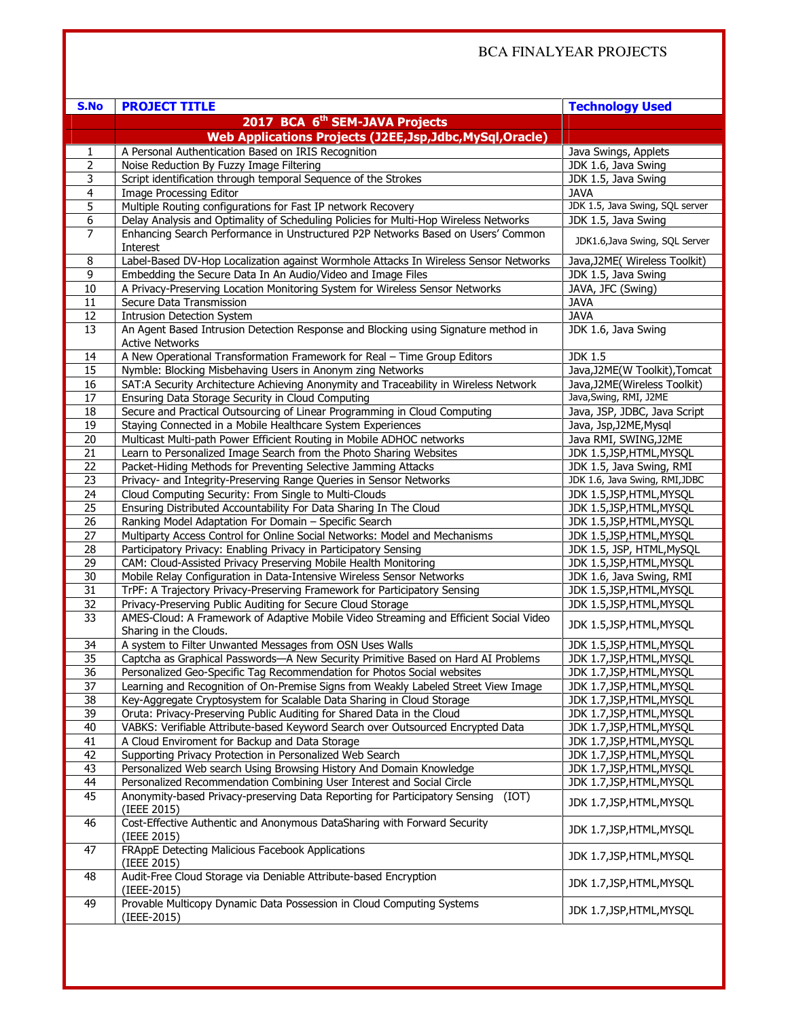| S.No            | <b>PROJECT TITLE</b>                                                                                            | <b>Technology Used</b>          |
|-----------------|-----------------------------------------------------------------------------------------------------------------|---------------------------------|
|                 | 2017 BCA 6 <sup>th</sup> SEM-JAVA Projects                                                                      |                                 |
|                 | Web Applications Projects (J2EE,Jsp,Jdbc,MySql,Oracle)                                                          |                                 |
| 1               | A Personal Authentication Based on IRIS Recognition                                                             | Java Swings, Applets            |
| 2               | Noise Reduction By Fuzzy Image Filtering                                                                        | JDK 1.6, Java Swing             |
| 3               | Script identification through temporal Sequence of the Strokes                                                  | JDK 1.5, Java Swing             |
| $\overline{4}$  | Image Processing Editor                                                                                         | <b>JAVA</b>                     |
| 5               | Multiple Routing configurations for Fast IP network Recovery                                                    | JDK 1.5, Java Swing, SQL server |
| 6               | Delay Analysis and Optimality of Scheduling Policies for Multi-Hop Wireless Networks                            | JDK 1.5, Java Swing             |
| 7               | Enhancing Search Performance in Unstructured P2P Networks Based on Users' Common<br>Interest                    | JDK1.6, Java Swing, SQL Server  |
| 8               | Label-Based DV-Hop Localization against Wormhole Attacks In Wireless Sensor Networks                            | Java, J2ME( Wireless Toolkit)   |
| 9               | Embedding the Secure Data In An Audio/Video and Image Files                                                     | JDK 1.5, Java Swing             |
| 10              | A Privacy-Preserving Location Monitoring System for Wireless Sensor Networks                                    | JAVA, JFC (Swing)               |
| 11              | Secure Data Transmission                                                                                        | <b>JAVA</b>                     |
| 12              | <b>Intrusion Detection System</b>                                                                               | <b>JAVA</b>                     |
| 13              | An Agent Based Intrusion Detection Response and Blocking using Signature method in<br><b>Active Networks</b>    | JDK 1.6, Java Swing             |
| 14              | A New Operational Transformation Framework for Real - Time Group Editors                                        | <b>JDK 1.5</b>                  |
| 15              | Nymble: Blocking Misbehaving Users in Anonym zing Networks                                                      | Java, J2ME(W Toolkit), Tomcat   |
| 16              | SAT:A Security Architecture Achieving Anonymity and Traceability in Wireless Network                            | Java, J2ME(Wireless Toolkit)    |
| 17              | Ensuring Data Storage Security in Cloud Computing                                                               | Java, Swing, RMI, J2ME          |
| 18              | Secure and Practical Outsourcing of Linear Programming in Cloud Computing                                       | Java, JSP, JDBC, Java Script    |
| 19              | Staying Connected in a Mobile Healthcare System Experiences                                                     | Java, Jsp, J2ME, Mysql          |
| 20              | Multicast Multi-path Power Efficient Routing in Mobile ADHOC networks                                           | Java RMI, SWING, J2ME           |
| 21              | Learn to Personalized Image Search from the Photo Sharing Websites                                              | JDK 1.5, JSP, HTML, MYSQL       |
| 22              | Packet-Hiding Methods for Preventing Selective Jamming Attacks                                                  | JDK 1.5, Java Swing, RMI        |
| 23              | Privacy- and Integrity-Preserving Range Queries in Sensor Networks                                              | JDK 1.6, Java Swing, RMI, JDBC  |
| 24              | Cloud Computing Security: From Single to Multi-Clouds                                                           | JDK 1.5, JSP, HTML, MYSQL       |
| 25              | Ensuring Distributed Accountability For Data Sharing In The Cloud                                               | JDK 1.5, JSP, HTML, MYSQL       |
| 26              | Ranking Model Adaptation For Domain - Specific Search                                                           | JDK 1.5, JSP, HTML, MYSQL       |
| 27              | Multiparty Access Control for Online Social Networks: Model and Mechanisms                                      | JDK 1.5, JSP, HTML, MYSQL       |
| 28              | Participatory Privacy: Enabling Privacy in Participatory Sensing                                                | JDK 1.5, JSP, HTML, MySQL       |
| $\overline{29}$ | CAM: Cloud-Assisted Privacy Preserving Mobile Health Monitoring                                                 | JDK 1.5, JSP, HTML, MYSQL       |
| 30              | Mobile Relay Configuration in Data-Intensive Wireless Sensor Networks                                           | JDK 1.6, Java Swing, RMI        |
| 31              | TrPF: A Trajectory Privacy-Preserving Framework for Participatory Sensing                                       | JDK 1.5, JSP, HTML, MYSQL       |
| 32              | Privacy-Preserving Public Auditing for Secure Cloud Storage                                                     | JDK 1.5, JSP, HTML, MYSQL       |
| 33              | AMES-Cloud: A Framework of Adaptive Mobile Video Streaming and Efficient Social Video<br>Sharing in the Clouds. | JDK 1.5, JSP, HTML, MYSQL       |
| 34              | A system to Filter Unwanted Messages from OSN Uses Walls                                                        | JDK 1.5, JSP, HTML, MYSQL       |
| 35              | Captcha as Graphical Passwords-A New Security Primitive Based on Hard AI Problems                               | JDK 1.7, JSP, HTML, MYSQL       |
| $\overline{36}$ | Personalized Geo-Specific Tag Recommendation for Photos Social websites                                         | JDK 1.7, JSP, HTML, MYSQL       |
| 37              | Learning and Recognition of On-Premise Signs from Weakly Labeled Street View Image                              | JDK 1.7, JSP, HTML, MYSQL       |
| 38              | Key-Aggregate Cryptosystem for Scalable Data Sharing in Cloud Storage                                           | JDK 1.7, JSP, HTML, MYSQL       |
| 39              | Oruta: Privacy-Preserving Public Auditing for Shared Data in the Cloud                                          | JDK 1.7, JSP, HTML, MYSQL       |
| 40              | VABKS: Verifiable Attribute-based Keyword Search over Outsourced Encrypted Data                                 | JDK 1.7, JSP, HTML, MYSQL       |
| 41              | A Cloud Enviroment for Backup and Data Storage                                                                  | JDK 1.7, JSP, HTML, MYSQL       |
| 42              | Supporting Privacy Protection in Personalized Web Search                                                        | JDK 1.7, JSP, HTML, MYSQL       |
| 43              | Personalized Web search Using Browsing History And Domain Knowledge                                             | JDK 1.7, JSP, HTML, MYSQL       |
| 44              | Personalized Recommendation Combining User Interest and Social Circle                                           | JDK 1.7, JSP, HTML, MYSQL       |
| 45              | Anonymity-based Privacy-preserving Data Reporting for Participatory Sensing<br>(IOT)<br>(IEEE 2015)             | JDK 1.7, JSP, HTML, MYSQL       |
| 46              | Cost-Effective Authentic and Anonymous DataSharing with Forward Security<br>(IEEE 2015)                         | JDK 1.7, JSP, HTML, MYSQL       |
| 47              | FRAppE Detecting Malicious Facebook Applications<br>(IEEE 2015)                                                 | JDK 1.7, JSP, HTML, MYSQL       |
| 48              | Audit-Free Cloud Storage via Deniable Attribute-based Encryption<br>(IEEE-2015)                                 | JDK 1.7, JSP, HTML, MYSQL       |
| 49              | Provable Multicopy Dynamic Data Possession in Cloud Computing Systems<br>(IEEE-2015)                            | JDK 1.7, JSP, HTML, MYSQL       |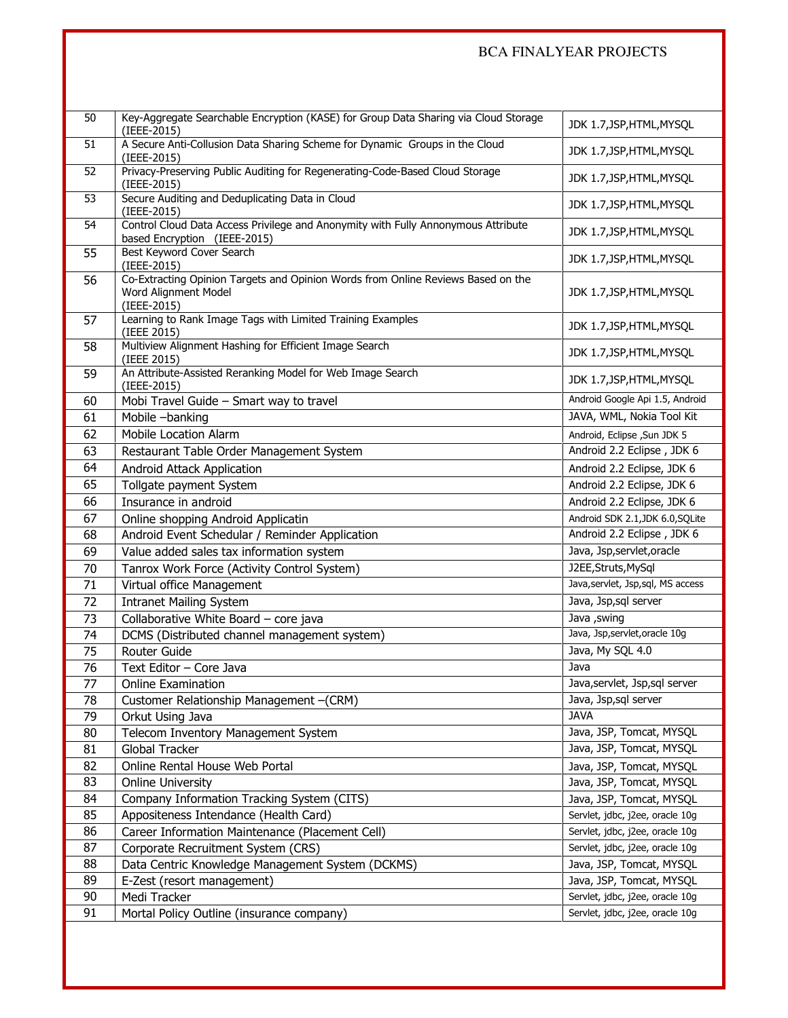## BCA FINALYEAR PROJECTS

| 50 | Key-Aggregate Searchable Encryption (KASE) for Group Data Sharing via Cloud Storage<br>(IEEE-2015)                      | JDK 1.7, JSP, HTML, MYSQL           |
|----|-------------------------------------------------------------------------------------------------------------------------|-------------------------------------|
| 51 | A Secure Anti-Collusion Data Sharing Scheme for Dynamic Groups in the Cloud<br>(IEEE-2015)                              | JDK 1.7, JSP, HTML, MYSQL           |
| 52 | Privacy-Preserving Public Auditing for Regenerating-Code-Based Cloud Storage<br>(IEEE-2015)                             | JDK 1.7, JSP, HTML, MYSQL           |
| 53 | Secure Auditing and Deduplicating Data in Cloud<br>(IEEE-2015)                                                          | JDK 1.7, JSP, HTML, MYSQL           |
| 54 | Control Cloud Data Access Privilege and Anonymity with Fully Annonymous Attribute<br>based Encryption (IEEE-2015)       | JDK 1.7, JSP, HTML, MYSQL           |
| 55 | Best Keyword Cover Search<br>(IEEE-2015)                                                                                | JDK 1.7, JSP, HTML, MYSQL           |
| 56 | Co-Extracting Opinion Targets and Opinion Words from Online Reviews Based on the<br>Word Alignment Model<br>(IEEE-2015) | JDK 1.7, JSP, HTML, MYSQL           |
| 57 | Learning to Rank Image Tags with Limited Training Examples<br>(IEEE 2015)                                               | JDK 1.7, JSP, HTML, MYSQL           |
| 58 | Multiview Alignment Hashing for Efficient Image Search<br>(IEEE 2015)                                                   | JDK 1.7, JSP, HTML, MYSQL           |
| 59 | An Attribute-Assisted Reranking Model for Web Image Search<br>(IEEE-2015)                                               | JDK 1.7, JSP, HTML, MYSQL           |
| 60 | Mobi Travel Guide - Smart way to travel                                                                                 | Android Google Api 1.5, Android     |
| 61 | Mobile -banking                                                                                                         | JAVA, WML, Nokia Tool Kit           |
| 62 | <b>Mobile Location Alarm</b>                                                                                            | Android, Eclipse , Sun JDK 5        |
| 63 | Restaurant Table Order Management System                                                                                | Android 2.2 Eclipse, JDK 6          |
| 64 | Android Attack Application                                                                                              | Android 2.2 Eclipse, JDK 6          |
| 65 | Tollgate payment System                                                                                                 | Android 2.2 Eclipse, JDK 6          |
| 66 | Insurance in android                                                                                                    | Android 2.2 Eclipse, JDK 6          |
| 67 | Online shopping Android Applicatin                                                                                      | Android SDK 2.1, JDK 6.0, SQLite    |
| 68 | Android Event Schedular / Reminder Application                                                                          | Android 2.2 Eclipse, JDK 6          |
| 69 | Value added sales tax information system                                                                                | Java, Jsp, servlet, oracle          |
| 70 | Tanrox Work Force (Activity Control System)                                                                             | J2EE, Struts, MySql                 |
| 71 | Virtual office Management                                                                                               | Java, servlet, Jsp, sql, MS access  |
| 72 |                                                                                                                         | Java, Jsp,sql server                |
|    | <b>Intranet Mailing System</b>                                                                                          | Java , swing                        |
| 73 | Collaborative White Board - core java                                                                                   | Java, Jsp,servlet,oracle 10g        |
| 74 | DCMS (Distributed channel management system)                                                                            |                                     |
| 75 | Router Guide                                                                                                            | Java, My SQL 4.0                    |
| 76 | Text Editor - Core Java                                                                                                 | Java                                |
| 77 | <b>Online Examination</b>                                                                                               | Java, servlet, Jsp, sql server      |
| 78 | Customer Relationship Management - (CRM)                                                                                | Java, Jsp,sql server<br><b>JAVA</b> |
| 79 | Orkut Using Java                                                                                                        |                                     |
| 80 | Telecom Inventory Management System                                                                                     | Java, JSP, Tomcat, MYSQL            |
| 81 | Global Tracker                                                                                                          | Java, JSP, Tomcat, MYSQL            |
| 82 | Online Rental House Web Portal                                                                                          | Java, JSP, Tomcat, MYSQL            |
| 83 | <b>Online University</b>                                                                                                | Java, JSP, Tomcat, MYSQL            |
| 84 | Company Information Tracking System (CITS)                                                                              | Java, JSP, Tomcat, MYSQL            |
| 85 | Appositeness Intendance (Health Card)                                                                                   | Servlet, jdbc, j2ee, oracle 10g     |
| 86 | Career Information Maintenance (Placement Cell)                                                                         | Servlet, jdbc, j2ee, oracle 10g     |
| 87 | Corporate Recruitment System (CRS)                                                                                      | Servlet, jdbc, j2ee, oracle 10g     |
| 88 | Data Centric Knowledge Management System (DCKMS)                                                                        | Java, JSP, Tomcat, MYSQL            |
| 89 | E-Zest (resort management)                                                                                              | Java, JSP, Tomcat, MYSQL            |
| 90 | Medi Tracker                                                                                                            | Servlet, jdbc, j2ee, oracle 10g     |
| 91 | Mortal Policy Outline (insurance company)                                                                               | Servlet, jdbc, j2ee, oracle 10g     |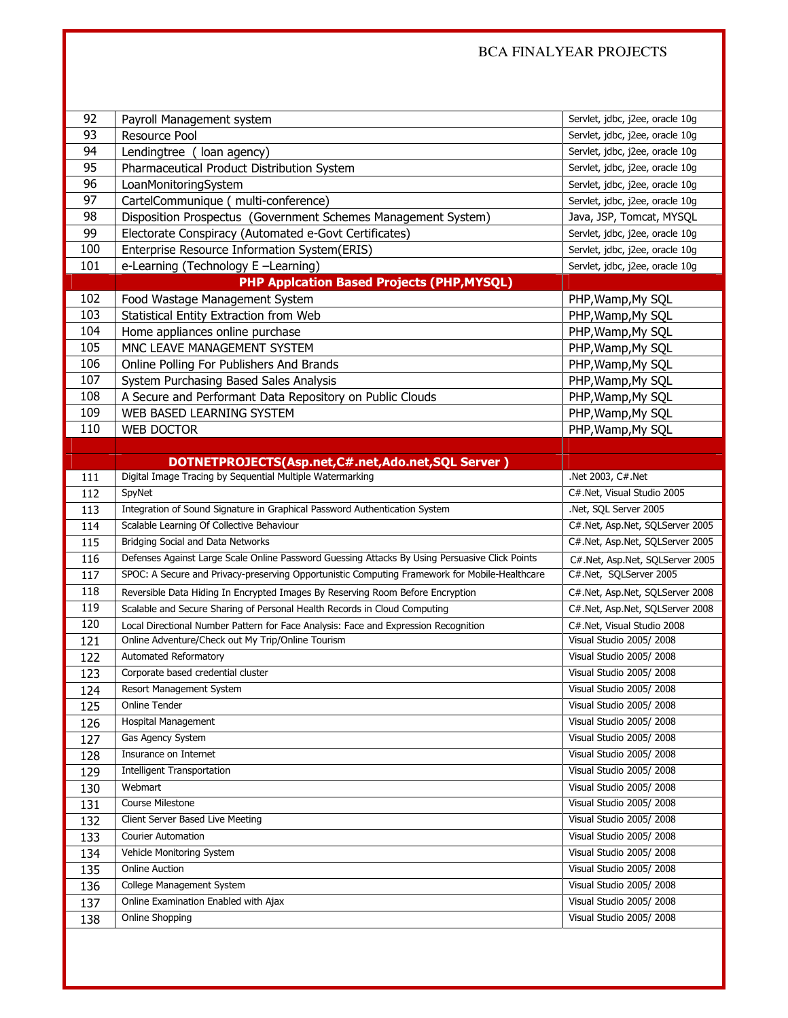| 92<br>93 |                                                                                                |                                                    |
|----------|------------------------------------------------------------------------------------------------|----------------------------------------------------|
|          | Payroll Management system                                                                      | Servlet, jdbc, j2ee, oracle 10g                    |
|          | Resource Pool                                                                                  | Servlet, jdbc, j2ee, oracle 10g                    |
| 94       | Lendingtree (loan agency)                                                                      | Servlet, jdbc, j2ee, oracle 10g                    |
| 95       | Pharmaceutical Product Distribution System                                                     | Servlet, jdbc, j2ee, oracle 10g                    |
| 96       | LoanMonitoringSystem                                                                           | Servlet, jdbc, j2ee, oracle 10g                    |
| 97       | CartelCommunique ( multi-conference)                                                           | Servlet, jdbc, j2ee, oracle 10g                    |
| 98       | Disposition Prospectus (Government Schemes Management System)                                  | Java, JSP, Tomcat, MYSQL                           |
| 99       | Electorate Conspiracy (Automated e-Govt Certificates)                                          | Servlet, jdbc, j2ee, oracle 10g                    |
| 100      | Enterprise Resource Information System(ERIS)                                                   | Servlet, jdbc, j2ee, oracle 10g                    |
| 101      | e-Learning (Technology E -Learning)                                                            | Servlet, jdbc, j2ee, oracle 10g                    |
|          | <b>PHP Applcation Based Projects (PHP, MYSQL)</b>                                              |                                                    |
| 102      | Food Wastage Management System                                                                 | PHP, Wamp, My SQL                                  |
| 103      | Statistical Entity Extraction from Web                                                         | PHP, Wamp, My SQL                                  |
| 104      | Home appliances online purchase                                                                | PHP, Wamp, My SQL                                  |
| 105      | MNC LEAVE MANAGEMENT SYSTEM                                                                    | PHP, Wamp, My SQL                                  |
| 106      | Online Polling For Publishers And Brands                                                       | PHP, Wamp, My SQL                                  |
| 107      | System Purchasing Based Sales Analysis                                                         | PHP, Wamp, My SQL                                  |
| 108      | A Secure and Performant Data Repository on Public Clouds                                       | PHP, Wamp, My SQL                                  |
| 109      | WEB BASED LEARNING SYSTEM                                                                      | PHP, Wamp, My SQL                                  |
| 110      | <b>WEB DOCTOR</b>                                                                              | PHP, Wamp, My SQL                                  |
|          |                                                                                                |                                                    |
|          | DOTNETPROJECTS(Asp.net,C#.net,Ado.net,SQL Server)                                              |                                                    |
| 111      | Digital Image Tracing by Sequential Multiple Watermarking                                      | Net 2003, C#.Net                                   |
| 112      | SpyNet                                                                                         | C#.Net, Visual Studio 2005                         |
| 113      | Integration of Sound Signature in Graphical Password Authentication System                     | .Net, SQL Server 2005                              |
| 114      | Scalable Learning Of Collective Behaviour                                                      | C#.Net, Asp.Net, SQLServer 2005                    |
|          |                                                                                                |                                                    |
| 115      | Bridging Social and Data Networks                                                              | C#.Net, Asp.Net, SQLServer 2005                    |
| 116      | Defenses Against Large Scale Online Password Guessing Attacks By Using Persuasive Click Points | C#.Net, Asp.Net, SQLServer 2005                    |
| 117      | SPOC: A Secure and Privacy-preserving Opportunistic Computing Framework for Mobile-Healthcare  | C#.Net, SQLServer 2005                             |
| 118      | Reversible Data Hiding In Encrypted Images By Reserving Room Before Encryption                 | C#.Net, Asp.Net, SQLServer 2008                    |
| 119      | Scalable and Secure Sharing of Personal Health Records in Cloud Computing                      | C#.Net, Asp.Net, SQLServer 2008                    |
| 120      | Local Directional Number Pattern for Face Analysis: Face and Expression Recognition            | C#.Net, Visual Studio 2008                         |
| 121      | Online Adventure/Check out My Trip/Online Tourism                                              | Visual Studio 2005/2008                            |
| 122      | Automated Reformatory                                                                          | Visual Studio 2005/2008                            |
| 123      | Corporate based credential cluster                                                             | Visual Studio 2005/2008                            |
| 124      | Resort Management System                                                                       | Visual Studio 2005/2008                            |
| 125      | <b>Online Tender</b>                                                                           | Visual Studio 2005/2008                            |
| 126      | <b>Hospital Management</b>                                                                     | Visual Studio 2005/2008                            |
| 127      | Gas Agency System                                                                              | Visual Studio 2005/2008                            |
| 128      | Insurance on Internet                                                                          | Visual Studio 2005/2008                            |
| 129      | <b>Intelligent Transportation</b>                                                              | Visual Studio 2005/2008                            |
| 130      | Webmart                                                                                        | Visual Studio 2005/2008                            |
| 131      | Course Milestone                                                                               | Visual Studio 2005/2008                            |
| 132      | Client Server Based Live Meeting                                                               | Visual Studio 2005/2008                            |
| 133      | <b>Courier Automation</b>                                                                      | Visual Studio 2005/2008                            |
| 134      | Vehicle Monitoring System                                                                      | Visual Studio 2005/2008                            |
| 135      | <b>Online Auction</b>                                                                          | Visual Studio 2005/2008                            |
| 136      | College Management System                                                                      | Visual Studio 2005/2008                            |
| 137      | Online Examination Enabled with Ajax<br>Online Shopping                                        | Visual Studio 2005/2008<br>Visual Studio 2005/2008 |